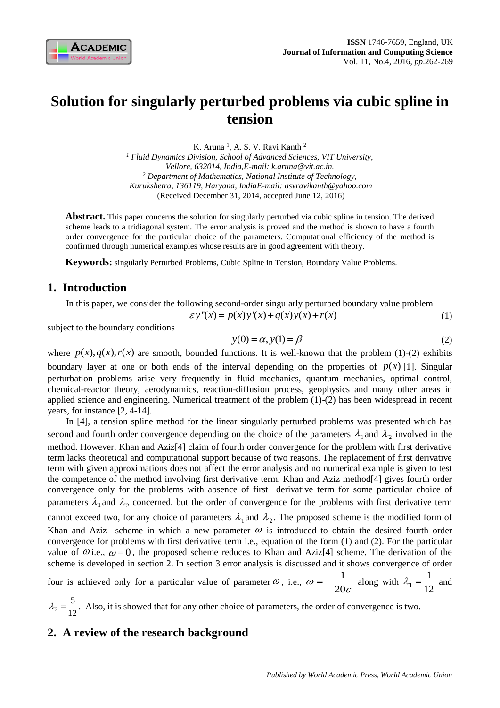

# **Solution for singularly perturbed problems via cubic spline in tension**

K. Aruna<sup>1</sup>, A. S. V. Ravi Kanth<sup>2</sup> *<sup>1</sup> Fluid Dynamics Division, School of Advanced Sciences, VIT University, Vellore, 632014, India,E-mail: [k.aruna@vit.ac.in.](mailto:k.aruna@vit.ac.in) <sup>2</sup> Department of Mathematics, National Institute of Technology, Kurukshetra, 136119, Haryana, IndiaE-mail: [asvravikanth@yahoo.com](mailto:asvravikanth@yahoo.com)* (Received December 31, 2014, accepted June 12, 2016)

**Abstract.** This paper concerns the solution for singularly perturbed via cubic spline in tension. The derived scheme leads to a tridiagonal system. The error analysis is proved and the method is shown to have a fourth order convergence for the particular choice of the parameters. Computational efficiency of the method is confirmed through numerical examples whose results are in good agreement with theory.

**Keywords:** singularly Perturbed Problems, Cubic Spline in Tension, Boundary Value Problems.

### **1. Introduction**

In this paper, we consider the following second-order singularly perturbed boundary value problem

$$
\mathcal{E}y''(x) = p(x)y'(x) + q(x)y(x) + r(x)
$$
 (1)

subject to the boundary conditions

$$
y(0) = \alpha, y(1) = \beta \tag{2}
$$

where  $p(x)$ ,  $q(x)$ ,  $r(x)$  are smooth, bounded functions. It is well-known that the problem (1)-(2) exhibits boundary layer at one or both ends of the interval depending on the properties of  $p(x)$  [1]. Singular perturbation problems arise very frequently in fluid mechanics, quantum mechanics, optimal control, chemical-reactor theory, aerodynamics, reaction-diffusion process, geophysics and many other areas in applied science and engineering. Numerical treatment of the problem (1)-(2) has been widespread in recent years, for instance [2, 4-14].

In [4], a tension spline method for the linear singularly perturbed problems was presented which has second and fourth order convergence depending on the choice of the parameters  $\lambda_1$  and  $\lambda_2$  involved in the method. However, Khan and Aziz[4] claim of fourth order convergence for the problem with first derivative term lacks theoretical and computational support because of two reasons. The replacement of first derivative term with given approximations does not affect the error analysis and no numerical example is given to test the competence of the method involving first derivative term. Khan and Aziz method[4] gives fourth order convergence only for the problems with absence of first derivative term for some particular choice of parameters  $\lambda_1$  and  $\lambda_2$  concerned, but the order of convergence for the problems with first derivative term cannot exceed two, for any choice of parameters  $\lambda_1$  and  $\lambda_2$ . The proposed scheme is the modified form of Khan and Aziz scheme in which a new parameter  $\omega$  is introduced to obtain the desired fourth order convergence for problems with first derivative term i.e., equation of the form (1) and (2). For the particular value of  $\omega$  i.e.,  $\omega = 0$ , the proposed scheme reduces to Khan and Aziz[4] scheme. The derivation of the scheme is developed in section 2. In section 3 error analysis is discussed and it shows convergence of order

four is achieved only for a particular value of parameter  $\omega$ , i.e.,  $\omega = -\frac{1}{2}$  $\omega = -\frac{1}{20}$  $\mathcal E$  $=-\frac{1}{20}$  along with  $\lambda_1$ 1 12  $\lambda_1 = \frac{1}{12}$  and

`2 5 12  $\lambda_2 = \frac{3}{12}$ . Also, it is showed that for any other choice of parameters, the order of convergence is two.

## **2. A review of the research background**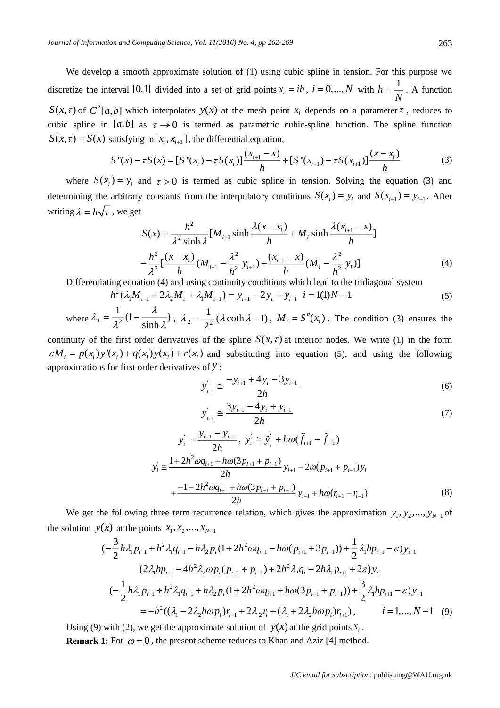We develop a smooth approximate solution of (1) using cubic spline in tension. For this purpose we discretize the interval [0,1] divided into a set of grid points  $x_i = ih$ ,  $i = 0, ..., N$  with  $h = \frac{1}{N}$  $=\frac{v}{N}$ . A function  $S(x, \tau)$  of  $C^2[a, b]$  which interpolates  $y(x)$  at the mesh point  $x_i$  depends on a parameter  $\tau$ , reduces to cubic spline in [a,b] as  $\tau \rightarrow 0$  is termed as parametric cubic-spline function. The spline function  $S(x, \tau) = S(x)$  satisfying in  $[x_i, x_{i+1}]$ , the differential equation,

$$
S''(x) - \tau S(x) = [S''(x_i) - \tau S(x_i)] \frac{(x_{i+1} - x)}{h} + [S''(x_{i+1}) - \tau S(x_{i+1})] \frac{(x - x_i)}{h}
$$
(3)

where  $S(x_i) = y_i$  and  $\tau > 0$  is termed as cubic spline in tension. Solving the equation (3) and determining the arbitrary constants from the interpolatory conditions  $S(x_i) = y_i$  and  $S(x_{i+1}) = y_{i+1}$ . After writing  $\lambda = h \sqrt{\tau}$ , we get

$$
S(x) = \frac{h^2}{\lambda^2 \sinh \lambda} [M_{i+1} \sinh \frac{\lambda(x - x_i)}{h} + M_i \sinh \frac{\lambda(x_{i+1} - x)}{h}]
$$
  

$$
-\frac{h^2}{\lambda^2} [\frac{(x - x_i)}{h} (M_{i+1} - \frac{\lambda^2}{h^2} y_{i+1}) + \frac{(x_{i+1} - x)}{h} (M_i - \frac{\lambda^2}{h^2} y_i)]
$$
(4)

Differentiating equation (4) and using continuity conditions which lead to the tridiagonal system

$$
h^{2}(\lambda_{1}M_{i-1} + 2\lambda_{2}M_{i} + \lambda_{1}M_{i+1}) = y_{i+1} - 2y_{i} + y_{i-1} \quad i = 1(1)N - 1
$$
\n
$$
(5)
$$

where  $\lambda_1 = \frac{1}{2^2}$  $\frac{1}{2(1-\frac{\lambda}{1+\lambda})}$ sinh  $\lambda_1 = \frac{1}{2}(1-\frac{\lambda}{\lambda})$  $=\frac{1}{\lambda^2}(1-\frac{\lambda}{\sinh\lambda})$ ,  $\lambda_2=\frac{1}{\lambda^2}$  $\lambda_2 = \frac{1}{\lambda^2} (\lambda \coth \lambda - 1), M_i = S''(x_i)$ . The condition (3) ensures the

continuity of the first order derivatives of the spline  $S(x, \tau)$  at interior nodes. We write (1) in the form continuity of the first order derivatives of the spline  $S(x, \tau)$  at interior nodes. We write (1) in the form  $\varepsilon M_i = p(x_i)y'(x_i) + q(x_i)y(x_i) + r(x_i)$  and substituting into equation (5), and using the following approximations for first order derivatives of *y* :

$$
y_{i-1}^{'} \cong \frac{-y_{i+1} + 4y_i - 3y_{i-1}}{2h}
$$
 (6)

$$
y_{i+1}^{'} \approx \frac{3y_{i+1} - 4y_i + y_{i-1}}{2h}
$$
 (7)

$$
y_{i} = \frac{y_{i+1} - y_{i-1}}{2h}, \ y_{i} \approx \tilde{y}_{i} + h\omega(\tilde{f}_{i+1} - \tilde{f}_{i-1})
$$
  

$$
y_{i} \approx \frac{1 + 2h^{2}\omega q_{i+1} + h\omega(3p_{i+1} + p_{i-1})}{2h} y_{i+1} - 2\omega (p_{i+1} + p_{i-1}) y_{i}
$$
  

$$
+ \frac{-1 - 2h^{2}\omega q_{i-1} + h\omega(3p_{i-1} + p_{i+1})}{2h} y_{i-1} + h\omega (r_{i+1} - r_{i-1})
$$
 (8)

We get the following three term recurrence relation, which gives the approximation  $y_1, y_2, ..., y_{N-1}$  of the solution  $y(x)$  at the points  $x_1, x_2, ..., x_{N-1}$ 

$$
(-\frac{3}{2}h\lambda_{1}p_{i-1} + h^{2}\lambda_{1}q_{i-1} - h\lambda_{2}p_{i}(1+2h^{2}\omega q_{i-1} - h\omega (p_{i+1}+3p_{i-1})) + \frac{1}{2}\lambda_{1}hp_{i+1} - \varepsilon)y_{i-1}
$$
  

$$
(2\lambda_{1}hp_{i-1} - 4h^{2}\lambda_{2}\omega p_{i}(p_{i+1}+p_{i-1}) + 2h^{2}\lambda_{2}q_{i} - 2h\lambda_{1}p_{i+1} + 2\varepsilon)y_{i}
$$
  

$$
(-\frac{1}{2}h\lambda_{1}p_{i-1} + h^{2}\lambda_{1}q_{i+1} + h\lambda_{2}p_{i}(1+2h^{2}\omega q_{i+1} + h\omega(3p_{i+1}+p_{i-1})) + \frac{3}{2}\lambda_{1}hp_{i+1} - \varepsilon)y_{+1}
$$
  

$$
= -h^{2}((\lambda_{1} - 2\lambda_{2}h\omega p_{i})r_{i-1} + 2\lambda_{2}r_{i} + (\lambda_{1} + 2\lambda_{2}h\omega p_{i})r_{i+1}), \qquad i = 1,..., N-1 \quad (9)
$$

Using (9) with (2), we get the approximate solution of  $y(x)$  at the grid points  $x_i$ .

**Remark 1:** For  $\omega = 0$ , the present scheme reduces to Khan and Aziz [4] method.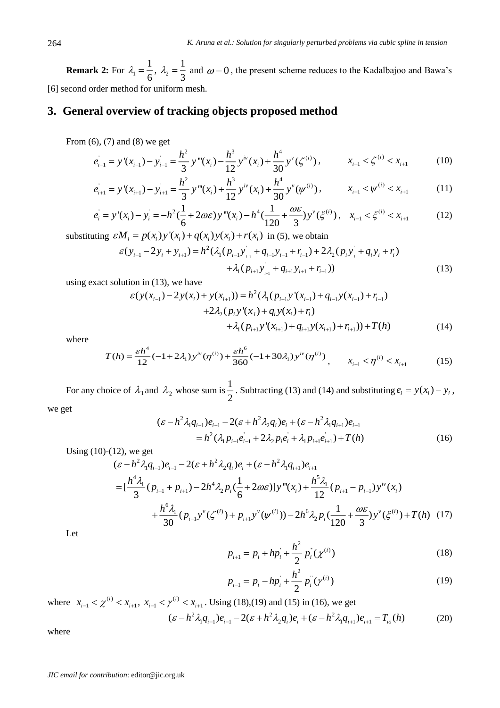**Remark 2:** For  $\lambda_1$ 1  $\lambda_1 = \frac{1}{6}, \lambda_2$ 1 3  $\lambda_2 = \frac{1}{2}$  and  $\omega = 0$ , the present scheme reduces to the Kadalbajoo and Bawa's [6] second order method for uniform mesh.

## **3. General overview of tracking objects proposed method**

From (6), (7) and (8) we get

$$
e_{i-1} = y'(x_{i-1}) - y_{i-1} = \frac{h^2}{3} y'''(x_i) - \frac{h^3}{12} y^{iv}(x_i) + \frac{h^4}{30} y^{v}(\zeta^{(i)}), \qquad x_{i-1} < \zeta^{(i)} < x_{i+1}
$$
 (10)

$$
e_{i+1}^{'} = y'(x_{i+1}) - y_{i+1}^{'} = \frac{h^2}{3} y'''(x_i) + \frac{h^3}{12} y^{iv}(x_i) + \frac{h^4}{30} y^{v}(\psi^{(i)}), \qquad x_{i-1} < \psi^{(i)} < x_{i+1}
$$
 (11)

$$
e_i = y'(x_i) - y_i = -h^2(\frac{1}{6} + 2\omega\varepsilon)y'''(x_i) - h^4(\frac{1}{120} + \frac{\omega\varepsilon}{3})y^{\nu}(\xi^{(i)}), \quad x_{i-1} < \xi^{(i)} < x_{i+1} \tag{12}
$$

substituting  $\varepsilon M_i = p(x_i) y'(x_i) + q(x_i) y(x_i) + r(x_i)$  in (5), we obtain

$$
\varepsilon(y_{i-1} - 2y_i + y_{i+1}) = h^2 (\lambda_1 (p_{i-1} y_{i-1} + q_{i-1} y_{i-1} + r_{i-1}) + 2\lambda_2 (p_i y_i + q_i y_i + r_i) + \lambda_1 (p_{i+1} y_{i+1} + q_{i+1} y_{i+1} + r_{i+1}))
$$
\n(13)

using exact solution in (13), we have

$$
\varepsilon(y(x_{i-1}) - 2y(x_i) + y(x_{i+1})) = h^2(\lambda_1(p_{i-1}y'(x_{i-1}) + q_{i-1}y(x_{i-1}) + r_{i-1})
$$
  
+2\lambda\_2(p\_i y'(x\_i) + q\_i y(x\_i) + r\_i)  
+ \lambda\_1(p\_{i+1}y'(x\_{i+1}) + q\_{i+1}y(x\_{i+1}) + r\_{i+1})) + T(h) (14)

where

$$
T(h) = \frac{\varepsilon h^4}{12} (-1 + 2\lambda_1) y^{iv} (\eta^{(i)}) + \frac{\varepsilon h^6}{360} (-1 + 30\lambda_1) y^{iv} (\eta^{(i)}) \,, \qquad x_{i-1} < \eta^{(i)} < x_{i+1} \tag{15}
$$

For any choice of  $\lambda_1$  and  $\lambda_2$  whose sum is  $\frac{1}{2}$  $\frac{1}{2}$ . Subtracting (13) and (14) and substituting  $e_i = y(x_i) - y_i$ ,

we get

$$
(\varepsilon - h^2 \lambda_1 q_{i-1}) e_{i-1} - 2(\varepsilon + h^2 \lambda_2 q_i) e_i + (\varepsilon - h^2 \lambda_1 q_{i+1}) e_{i+1}
$$
  
=  $h^2 (\lambda_1 p_{i-1} e_{i-1} + 2 \lambda_2 p_i e_i + \lambda_1 p_{i+1} e_{i+1}) + T(h)$  (16)

Using 
$$
(10)-(12)
$$
, we get

$$
(\varepsilon - h^2 \lambda_1 q_{i-1}) e_{i-1} - 2(\varepsilon + h^2 \lambda_2 q_i) e_i + (\varepsilon - h^2 \lambda_1 q_{i+1}) e_{i+1}
$$
  
= 
$$
[\frac{h^4 \lambda_1}{3} (p_{i-1} + p_{i+1}) - 2h^4 \lambda_2 p_i (\frac{1}{6} + 2\omega \varepsilon)] y'''(x_i) + \frac{h^5 \lambda_1}{12} (p_{i+1} - p_{i-1}) y^{iv}(x_i)
$$

$$
+ \frac{h^6 \lambda_1}{30} (p_{i-1} y^v (\zeta^{(i)}) + p_{i+1} y^v (\psi^{(i)})) - 2h^6 \lambda_2 p_i (\frac{1}{120} + \frac{\omega \varepsilon}{3}) y^v (\xi^{(i)}) + T(h) \quad (17)
$$

Let

$$
p_{i+1} = p_i + hp_i + \frac{h^2}{2} p_i(\chi^{(i)})
$$
 (18)

$$
p_{i-1} = p_i - hp_i + \frac{h^2}{2} p_i(\gamma^{(i)})
$$
\n(19)

where  $x_{i-1} < \chi^{(i)} < x_{i+1}$  $x_{i-1} < \chi^{(i)} < x_{i+1}, \ x_{i-1} < \gamma^{(i)} < x_{i+1}$  $x_{i-1} < \gamma^{(i)} < x_{i+1}$ . Using (18),(19) and (15) in (16), we get

$$
(\varepsilon - h^2 \lambda_1 q_{i-1}) e_{i-1} - 2(\varepsilon + h^2 \lambda_2 q_i) e_i + (\varepsilon - h^2 \lambda_1 q_{i+1}) e_{i+1} = T_{i} (h)
$$
 (20)

where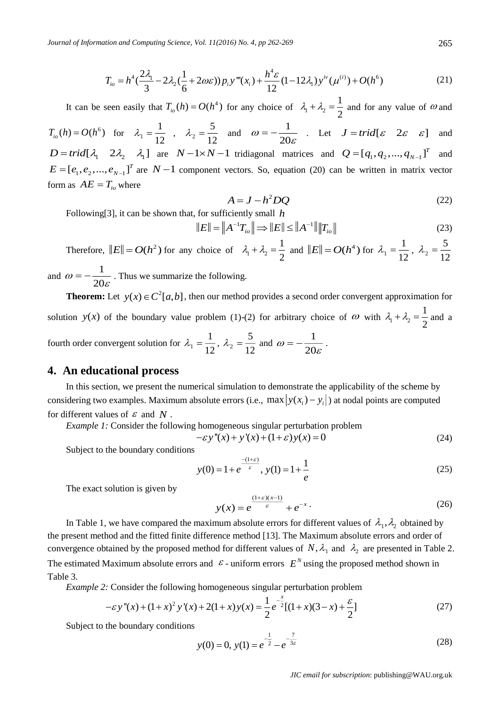*Journal of Information and Computing Science, Vol. 11(2016) No. 4, pp 262-269*

$$
T_{io} = h^4 \left(\frac{2\lambda_1}{3} - 2\lambda_2 \left(\frac{1}{6} + 2\omega\varepsilon\right)\right) p_i y'''(x_i) + \frac{h^4 \varepsilon}{12} (1 - 12\lambda_1) y^{iv} (\mu^{(i)}) + O(h^6)
$$
\n(21)

It can be seen easily that  $T_{i} (h) = O(h^4)$  for any choice of  $\lambda_1 + \lambda_2$ 1 2  $\lambda_1 + \lambda_2 = \frac{1}{2}$  and for any value of  $\omega$  and

 $T_{io}(h) = O(h^6)$  for  $\lambda_1$ 1 12  $\lambda_1 = \frac{1}{12}$ ,  $\lambda_2$ 5 12  $\lambda_2 = \frac{5}{12}$  and  $\omega = -\frac{1}{28}$  $\omega = -\frac{1}{20}$ ε  $=-\frac{1}{20 \varepsilon}$  . Let  $J = trid[\varepsilon \quad 2\varepsilon \quad \varepsilon]$ and  $D = trid[\lambda_1 \quad 2\lambda_2 \quad \lambda_1]$  are  $N-1 \times N-1$  tridiagonal matrices and  $Q = [q_1, q_2, ..., q_{N-1}]^T$  and  $E = [e_1, e_2, ..., e_{N-1}]^T$  are  $N-1$  component vectors. So, equation (20) can be written in matrix vector form as  $AE = T_{io}$  where

$$
A = J - h^2 DQ \tag{22}
$$

Following[3], it can be shown that, for sufficiently small *h*

$$
E\| = \|A^{-1}T_{io}\| \Longrightarrow \|E\| \le \|A^{-1}\| \|T_{io}\|
$$
\n(23)

Therefore,  $||E|| = O(h^2)$  for any choice of  $\lambda_1 + \lambda_2$ 1 2  $\lambda_1 + \lambda_2 = \frac{1}{2}$  and  $||E|| = O(h^4)$  for  $\lambda_1$ 1  $\lambda_1 = \frac{1}{12}, \lambda_2$ 5 12  $\lambda_{2} =$ and  $\omega = -\frac{1}{20}$  $\omega = -\frac{1}{20}$ ε  $=-\frac{1}{20}$ . Thus we summarize the following.

**Theorem:** Let  $y(x) \in C^2[a,b]$ , then our method provides a second order convergent approximation for solution  $y(x)$  of the boundary value problem (1)-(2) for arbitrary choice of  $\omega$  with  $\lambda_1 + \lambda_2$ 1 2  $\lambda_1 + \lambda_2 = \frac{1}{2}$  and a fourth order convergent solution for  $\lambda_1$ 1  $\lambda_1 = \frac{1}{12}, \lambda_2$ 5 12  $\lambda_2 = \frac{5}{12}$  and  $\omega = -\frac{1}{28}$  $\omega = -\frac{1}{20}$ ε  $=-\frac{1}{28}$ .

#### **4. An educational process**

In this section, we present the numerical simulation to demonstrate the applicability of the scheme by considering two examples. Maximum absolute errors (i.e., max  $|y(x_i) - y_i|$ ) at nodal points are computed for different values of  $\epsilon$  and  $N$ .

*Example 1:* Consider the following homogeneous singular perturbation problem

$$
-\varepsilon y''(x) + y'(x) + (1+\varepsilon)y(x) = 0
$$
\n(24)

Subject to the boundary conditions

$$
y(0) = 1 + e^{\frac{-(1+\varepsilon)}{\varepsilon}}, \ y(1) = 1 + \frac{1}{e}
$$
 (25)

The exact solution is given by

$$
y(x) = e^{\frac{(1+\varepsilon)(x-1)}{\varepsilon}} + e^{-x}.
$$
 (26)

In Table 1, we have compared the maximum absolute errors for different values of  $\lambda_1, \lambda_2$  obtained by the present method and the fitted finite difference method [13]. The Maximum absolute errors and order of convergence obtained by the proposed method for different values of  $N$ ,  $\lambda_1$  and  $\lambda_2$  are presented in Table 2. The estimated Maximum absolute errors and  $\epsilon$ -uniform errors  $E^N$  using the proposed method shown in Table 3.

*Example 2:* Consider the following homogeneous singular perturbation problem

$$
-\varepsilon y''(x) + (1+x)^2 y'(x) + 2(1+x) y(x) = \frac{1}{2} e^{-\frac{x}{2}} [(1+x)(3-x) + \frac{\varepsilon}{2}]
$$
\n(27)

Subject to the boundary conditions

$$
y(0) = 0, y(1) = e^{-\frac{1}{2}} - e^{-\frac{7}{3\varepsilon}}
$$
 (28)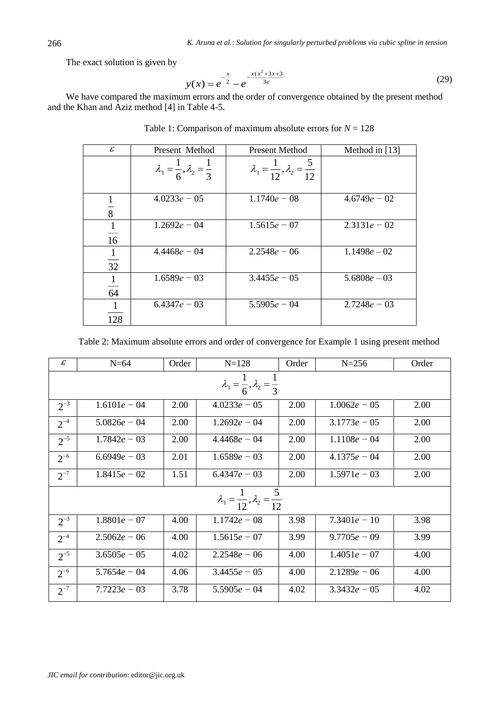The exact solution is given by

$$
y(x) = e^{-\frac{x}{2}} - e^{-\frac{x(x^2 + 3x + 3)}{3\varepsilon}}
$$
 (29)

We have compared the maximum errors and the order of convergence obtained by the present method and the Khan and Aziz method [4] in Table 4-5.

| $\mathcal{E}$                  | Present Method                                     | <b>Present Method</b>                                | Method in [13] |
|--------------------------------|----------------------------------------------------|------------------------------------------------------|----------------|
|                                | $\lambda_1 = \frac{1}{6}, \lambda_2 = \frac{1}{3}$ | $\lambda_1 = \frac{1}{12}, \lambda_2 = \frac{5}{12}$ |                |
| $\overline{8}$                 | $4.0233e - 05$                                     | $1.1740e - 08$                                       | $4.6749e - 02$ |
| $\mathbf{1}$<br>$\frac{1}{16}$ | $1.2692e - 04$                                     | $1.5615e - 07$                                       | $2.3131e - 02$ |
| $\mathbf{1}$<br>$\frac{1}{32}$ | $4.4468e - 04$                                     | $2.2548e - 06$                                       | $1.1498e - 02$ |
| $\mathbf{1}$<br>64             | $1.6589e - 03$                                     | $3.4455e - 05$                                       | $5.6808e - 03$ |
| 1<br>128                       | $6.4347e - 03$                                     | $5.5905e - 04$                                       | $2.7248e - 03$ |

Table 1: Comparison of maximum absolute errors for  $N = 128$ 

Table 2: Maximum absolute errors and order of convergence for Example 1 using present method

| $\mathcal E$                                         | $N=64$                                             | Order | $N = 128$      | Order | $N = 256$      | Order |  |
|------------------------------------------------------|----------------------------------------------------|-------|----------------|-------|----------------|-------|--|
|                                                      | $\lambda_1 = \frac{1}{6}, \lambda_2 = \frac{1}{3}$ |       |                |       |                |       |  |
| $2^{-3}$                                             | $1.6101e - 04$                                     | 2.00  | $4.0233e - 05$ | 2.00  | $1.0062e - 05$ | 2.00  |  |
| $2^{-4}$                                             | $5.0826e - 04$                                     | 2.00  | $1.2692e - 04$ | 2.00  | $3.1773e - 05$ | 2.00  |  |
| $2^{-5}$                                             | $1.7842e - 03$                                     | 2.00  | $4.4468e - 04$ | 2.00  | $1.1108e - 04$ | 2.00  |  |
| $2^{-6}$                                             | $6.6949e - 03$                                     | 2.01  | $1.6589e - 03$ | 2.00  | $4.1375e - 04$ | 2.00  |  |
| $2^{-7}$                                             | $1.8415e - 02$                                     | 1.51  | $6.4347e - 03$ | 2.00  | $1.5971e - 03$ | 2.00  |  |
| $\lambda_1 = \frac{1}{12}, \lambda_2 = \frac{3}{12}$ |                                                    |       |                |       |                |       |  |
| $2^{-3}$                                             | $1.8801e - 07$                                     | 4.00  | $1.1742e - 08$ | 3.98  | $7.3401e - 10$ | 3.98  |  |
| $2^{-4}$                                             | $2.5062e - 06$                                     | 4.00  | $1.5615e - 07$ | 3.99  | $9.7705e - 09$ | 3.99  |  |
| $2^{-5}$                                             | $3.6505e - 05$                                     | 4.02  | $2.2548e - 06$ | 4.00  | $1.4051e - 07$ | 4.00  |  |
| $2^{-6}$                                             | $5.7654e - 04$                                     | 4.06  | $3.4455e - 05$ | 4.00  | $2.1289e - 06$ | 4.00  |  |
| $2^{-7}$                                             | $7.7223e - 03$                                     | 3.78  | $5.5905e - 04$ | 4.02  | $3.3432e - 05$ | 4.02  |  |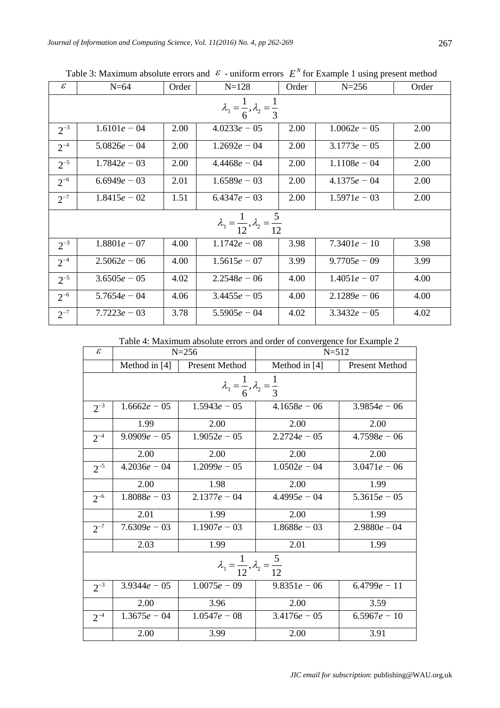| $\mathcal E$                                         | $N=64$                                             | Order | $N = 128$      | Order | $N = 256$      | Order |  |
|------------------------------------------------------|----------------------------------------------------|-------|----------------|-------|----------------|-------|--|
|                                                      | $\lambda_1 = \frac{1}{6}, \lambda_2 = \frac{1}{3}$ |       |                |       |                |       |  |
| $2^{-3}$                                             | $1.6101e - 04$                                     | 2.00  | $4.0233e - 05$ | 2.00  | $1.0062e - 05$ | 2.00  |  |
| $2^{-4}$                                             | $5.0826e - 04$                                     | 2.00  | $1.2692e - 04$ | 2.00  | $3.1773e - 05$ | 2.00  |  |
| $2^{-5}$                                             | $1.7842e - 03$                                     | 2.00  | $4.4468e - 04$ | 2.00  | $1.1108e - 04$ | 2.00  |  |
| $2^{-6}$                                             | $6.6949e - 03$                                     | 2.01  | $1.6589e - 03$ | 2.00  | $4.1375e - 04$ | 2.00  |  |
| $2^{-7}$                                             | $1.8415e - 02$                                     | 1.51  | $6.4347e - 03$ | 2.00  | $1.5971e - 03$ | 2.00  |  |
| $\lambda_1 = \frac{1}{12}, \lambda_2 = \frac{5}{12}$ |                                                    |       |                |       |                |       |  |
| $2^{-3}$                                             | $1.8801e - 07$                                     | 4.00  | $1.1742e - 08$ | 3.98  | $7.3401e - 10$ | 3.98  |  |
| $2^{-4}$                                             | $2.5062e - 06$                                     | 4.00  | $1.5615e - 07$ | 3.99  | $9.7705e - 09$ | 3.99  |  |
| $2^{-5}$                                             | $3.6505e - 05$                                     | 4.02  | $2.2548e - 06$ | 4.00  | $1.4051e - 07$ | 4.00  |  |
| $2^{-6}$                                             | $5.7654e - 04$                                     | 4.06  | $3.4455e - 05$ | 4.00  | $2.1289e - 06$ | 4.00  |  |
| $2^{-7}$                                             | $7.7223e - 03$                                     | 3.78  | $5.5905e - 04$ | 4.02  | $3.3432e - 05$ | 4.02  |  |

Table 3: Maximum absolute errors and  $\epsilon$  - uniform errors  $E^N$  for Example 1 using present method

Table 4: Maximum absolute errors and order of convergence for Example 2

| $\mathcal{E}$                                        |                                                    | $N = 256$             | $N = 512$      |                       |  |  |  |  |
|------------------------------------------------------|----------------------------------------------------|-----------------------|----------------|-----------------------|--|--|--|--|
|                                                      | Method in [4]                                      | <b>Present Method</b> | Method in [4]  | <b>Present Method</b> |  |  |  |  |
|                                                      | $\lambda_1 = \frac{1}{6}, \lambda_2 = \frac{1}{3}$ |                       |                |                       |  |  |  |  |
| $2^{-3}$                                             | $1.6662e - 05$                                     | $1.5943e - 05$        | $4.1658e - 06$ | $3.9854e - 06$        |  |  |  |  |
|                                                      | 1.99                                               | 2.00                  | 2.00           | 2.00                  |  |  |  |  |
| $2^{-4}$                                             | $9.0909e - 05$                                     | $1.9052e - 05$        | $2.2724e - 05$ | $4.7598e - 06$        |  |  |  |  |
|                                                      | 2.00                                               | 2.00                  | 2.00           | 2.00                  |  |  |  |  |
| $2^{-5}$                                             | $4.2036e - 04$                                     | $1.2099e - 05$        | $1.0502e - 04$ | $3.0471e - 06$        |  |  |  |  |
|                                                      | 2.00                                               | 1.98                  | 2.00           | 1.99                  |  |  |  |  |
| $2^{-6}$                                             | $1.8088e - 03$                                     | $2.1377e - 04$        | $4.4995e - 04$ | $5.3615e - 05$        |  |  |  |  |
|                                                      | 2.01                                               | 1.99                  | 2.00           | 1.99                  |  |  |  |  |
| $2^{-7}$                                             | $7.6309e - 03$                                     | $1.1907e - 03$        | $1.8688e - 03$ | $2.9880e - 04$        |  |  |  |  |
|                                                      | 2.03                                               | 1.99                  | 2.01           | 1.99                  |  |  |  |  |
| $\lambda_1 = \frac{1}{12}, \lambda_2 = \frac{5}{12}$ |                                                    |                       |                |                       |  |  |  |  |
| $2^{-3}$                                             | $3.9344e - 05$                                     | $1.0075e - 09$        | $9.8351e - 06$ | $6.4799e - 11$        |  |  |  |  |
|                                                      | 2.00                                               | 3.96                  | 2.00           | 3.59                  |  |  |  |  |
| $2^{-4}$                                             | $1.3675e - 04$                                     | $1.0547e - 08$        | $3.4176e - 05$ | $6.5967e - 10$        |  |  |  |  |
|                                                      | 2.00                                               | 3.99                  | 2.00           | 3.91                  |  |  |  |  |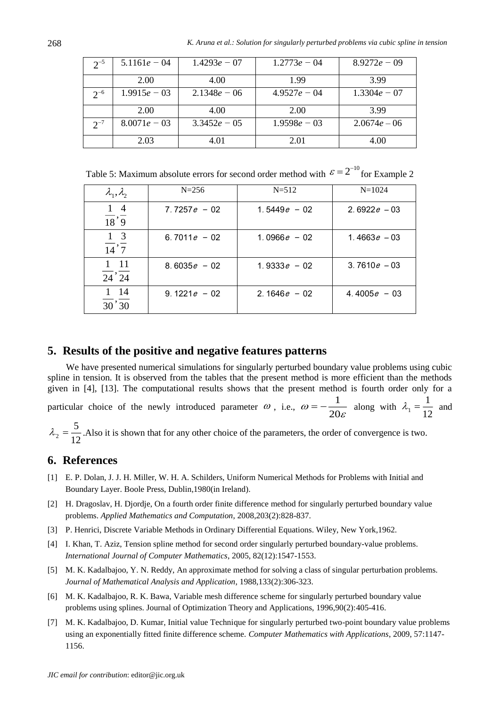| $2^{-5}$ | $5.1161e - 04$ | $1.4293e - 07$ | $1.2773e - 04$ | $8.9272e - 09$ |
|----------|----------------|----------------|----------------|----------------|
|          | 2.00           | 4.00           | 1.99           | 3.99           |
| $2^{-6}$ | $1.9915e - 03$ | $2.1348e - 06$ | $4.9527e - 04$ | $1.3304e - 07$ |
|          | 2.00           | 4.00           | 2.00           | 3.99           |
| $2^{-7}$ | $8.0071e - 03$ | $3.3452e - 05$ | $1.9598e - 03$ | $2.0674e - 06$ |
|          | 2.03           | 4.01           | 2.01           | 4.00           |

Table 5: Maximum absolute errors for second order method with  $\varepsilon = 2^{-10}$  for Example 2

| $\lambda_1, \lambda_2$                         | $N = 256$       | $N = 512$       | $N=1024$        |
|------------------------------------------------|-----------------|-----------------|-----------------|
| $1\quad4$<br>$\overline{18}, \overline{9}$     | $7.7257e - 02$  | 1.5449 $e - 02$ | 2.6922 $e - 03$ |
| $1\quad 3$<br>$\overline{14}$ , $\overline{7}$ | 6.7011 $e$ – 02 | 1.0966 $e - 02$ | 1.4663 $e - 03$ |
| $1 \quad 11$<br>$24^{6}$ $24$                  | $8.6035e - 02$  | 1.9333 $e - 02$ | $3.7610e - 03$  |
| $1 \t14$<br>30'30                              | $9.1221e - 02$  | 2.1646 $e - 02$ | 4.4005 $e - 03$ |

#### **5. Results of the positive and negative features patterns**

We have presented numerical simulations for singularly perturbed boundary value problems using cubic spline in tension. It is observed from the tables that the present method is more efficient than the methods given in [4], [13]. The computational results shows that the present method is fourth order only for a particular choice of the newly introduced parameter  $\omega$ , i.e.,  $\omega = -\frac{1}{2}$  $\omega = -\frac{1}{20}$ ε  $=-\frac{1}{20}$  along with  $\lambda_1$ 1 12  $\lambda_1 = \frac{1}{12}$  and 5

$$
\lambda_2 = \frac{3}{12}
$$
. Also it is shown that for any other choice of the parameters, the order of convergence is two.

#### **6. References**

- [1] E. P. Dolan, J. J. H. Miller, W. H. A. Schilders, Uniform Numerical Methods for Problems with Initial and Boundary Layer. Boole Press, Dublin,1980(in Ireland).
- [2] H. Dragoslav, H. Djordje, On a fourth order finite difference method for singularly perturbed boundary value problems. *Applied Mathematics and Computation*, 2008,203(2):828-837.
- [3] P. Henrici, Discrete Variable Methods in Ordinary Differential Equations. Wiley, New York,1962.
- [4] I. Khan, T. Aziz, Tension spline method for second order singularly perturbed boundary-value problems. *International Journal of Computer Mathematics*, 2005, 82(12):1547-1553.
- [5] M. K. Kadalbajoo, Y. N. Reddy, An approximate method for solving a class of singular perturbation problems. *Journal of Mathematical Analysis and Application*, 1988,133(2):306-323.
- [6] M. K. Kadalbajoo, R. K. Bawa, Variable mesh difference scheme for singularly perturbed boundary value problems using splines. Journal of Optimization Theory and Applications, 1996,90(2):405-416.
- [7] M. K. Kadalbajoo, D. Kumar, Initial value Technique for singularly perturbed two-point boundary value problems using an exponentially fitted finite difference scheme*. Computer Mathematics with Applications*, 2009, 57:1147- 1156.